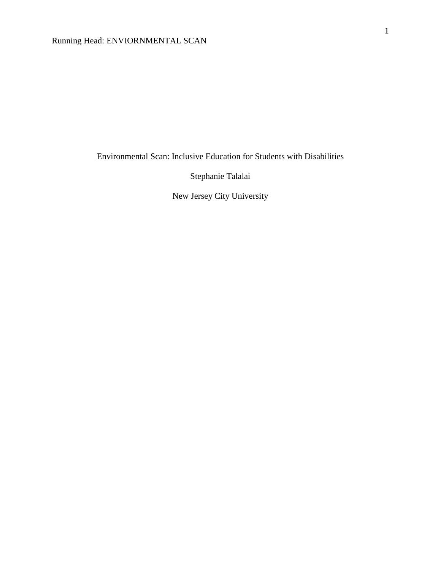Environmental Scan: Inclusive Education for Students with Disabilities

Stephanie Talalai

New Jersey City University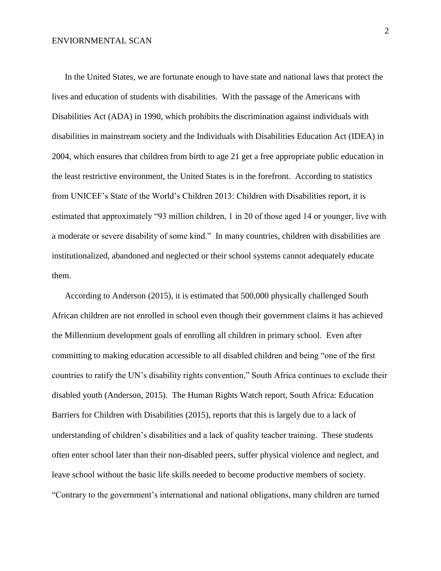In the United States, we are fortunate enough to have state and national laws that protect the lives and education of students with disabilities. With the passage of the Americans with Disabilities Act (ADA) in 1990, which prohibits the discrimination against individuals with disabilities in mainstream society and the Individuals with Disabilities Education Act (IDEA) in 2004, which ensures that children from birth to age 21 get a free appropriate public education in the least restrictive environment, the United States is in the forefront. According to statistics from UNICEF's State of the World's Children 2013: Children with Disabilities report, it is estimated that approximately "93 million children, 1 in 20 of those aged 14 or younger, live with a moderate or severe disability of some kind." In many countries, children with disabilities are institutionalized, abandoned and neglected or their school systems cannot adequately educate them.

 According to Anderson (2015), it is estimated that 500,000 physically challenged South African children are not enrolled in school even though their government claims it has achieved the Millennium development goals of enrolling all children in primary school. Even after committing to making education accessible to all disabled children and being "one of the first countries to ratify the UN's disability rights convention," South Africa continues to exclude their disabled youth (Anderson, 2015). The Human Rights Watch report, South Africa: Education Barriers for Children with Disabilities (2015), reports that this is largely due to a lack of understanding of children's disabilities and a lack of quality teacher training. These students often enter school later than their non-disabled peers, suffer physical violence and neglect, and leave school without the basic life skills needed to become productive members of society. "Contrary to the government's international and national obligations, many children are turned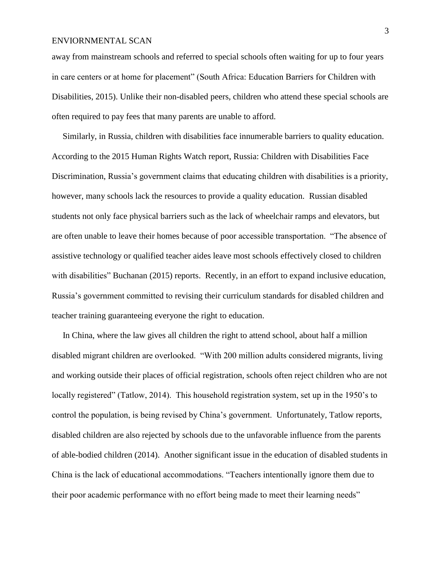away from mainstream schools and referred to special schools often waiting for up to four years in care centers or at home for placement" (South Africa: Education Barriers for Children with Disabilities, 2015). Unlike their non-disabled peers, children who attend these special schools are often required to pay fees that many parents are unable to afford.

 Similarly, in Russia, children with disabilities face innumerable barriers to quality education. According to the 2015 Human Rights Watch report, Russia: Children with Disabilities Face Discrimination, Russia's government claims that educating children with disabilities is a priority, however, many schools lack the resources to provide a quality education. Russian disabled students not only face physical barriers such as the lack of wheelchair ramps and elevators, but are often unable to leave their homes because of poor accessible transportation. "The absence of assistive technology or qualified teacher aides leave most schools effectively closed to children with disabilities" Buchanan (2015) reports. Recently, in an effort to expand inclusive education, Russia's government committed to revising their curriculum standards for disabled children and teacher training guaranteeing everyone the right to education.

 In China, where the law gives all children the right to attend school, about half a million disabled migrant children are overlooked. "With 200 million adults considered migrants, living and working outside their places of official registration, schools often reject children who are not locally registered" (Tatlow, 2014). This household registration system, set up in the 1950's to control the population, is being revised by China's government. Unfortunately, Tatlow reports, disabled children are also rejected by schools due to the unfavorable influence from the parents of able-bodied children (2014). Another significant issue in the education of disabled students in China is the lack of educational accommodations. "Teachers intentionally ignore them due to their poor academic performance with no effort being made to meet their learning needs"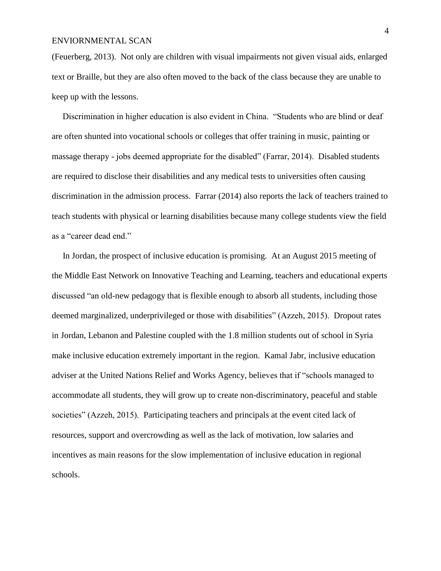(Feuerberg, 2013). Not only are children with visual impairments not given visual aids, enlarged text or Braille, but they are also often moved to the back of the class because they are unable to keep up with the lessons.

 Discrimination in higher education is also evident in China. "Students who are blind or deaf are often shunted into vocational schools or colleges that offer training in music, painting or massage therapy - jobs deemed appropriate for the disabled" (Farrar, 2014). Disabled students are required to disclose their disabilities and any medical tests to universities often causing discrimination in the admission process. Farrar (2014) also reports the lack of teachers trained to teach students with physical or learning disabilities because many college students view the field as a "career dead end."

 In Jordan, the prospect of inclusive education is promising. At an August 2015 meeting of the Middle East Network on Innovative Teaching and Learning, teachers and educational experts discussed "an old-new pedagogy that is flexible enough to absorb all students, including those deemed marginalized, underprivileged or those with disabilities" (Azzeh, 2015). Dropout rates in Jordan, Lebanon and Palestine coupled with the 1.8 million students out of school in Syria make inclusive education extremely important in the region. Kamal Jabr, inclusive education adviser at the United Nations Relief and Works Agency, believes that if "schools managed to accommodate all students, they will grow up to create non-discriminatory, peaceful and stable societies" (Azzeh, 2015). Participating teachers and principals at the event cited lack of resources, support and overcrowding as well as the lack of motivation, low salaries and incentives as main reasons for the slow implementation of inclusive education in regional schools.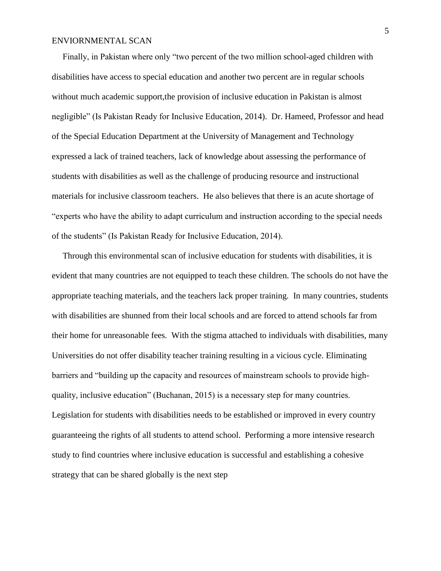Finally, in Pakistan where only "two percent of the two million school-aged children with disabilities have access to special education and another two percent are in regular schools without much academic support,the provision of inclusive education in Pakistan is almost negligible" (Is Pakistan Ready for Inclusive Education, 2014). Dr. Hameed, Professor and head of the Special Education Department at the University of Management and Technology expressed a lack of trained teachers, lack of knowledge about assessing the performance of students with disabilities as well as the challenge of producing resource and instructional materials for inclusive classroom teachers. He also believes that there is an acute shortage of "experts who have the ability to adapt curriculum and instruction according to the special needs of the students" (Is Pakistan Ready for Inclusive Education, 2014).

 Through this environmental scan of inclusive education for students with disabilities, it is evident that many countries are not equipped to teach these children. The schools do not have the appropriate teaching materials, and the teachers lack proper training. In many countries, students with disabilities are shunned from their local schools and are forced to attend schools far from their home for unreasonable fees. With the stigma attached to individuals with disabilities, many Universities do not offer disability teacher training resulting in a vicious cycle. Eliminating barriers and "building up the capacity and resources of mainstream schools to provide highquality, inclusive education" (Buchanan, 2015) is a necessary step for many countries. Legislation for students with disabilities needs to be established or improved in every country guaranteeing the rights of all students to attend school. Performing a more intensive research study to find countries where inclusive education is successful and establishing a cohesive strategy that can be shared globally is the next step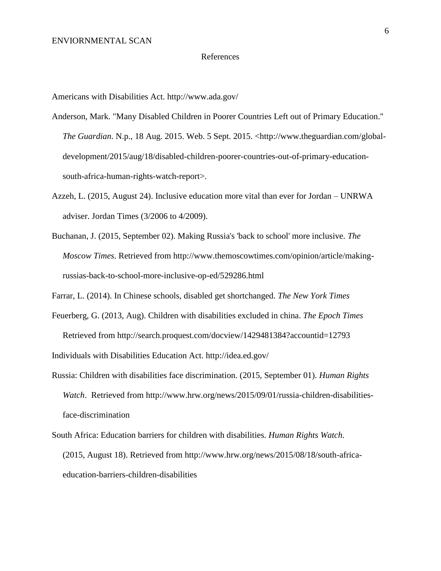#### References

Americans with Disabilities Act. http://www.ada.gov/

- Anderson, Mark. "Many Disabled Children in Poorer Countries Left out of Primary Education." *The Guardian*. N.p., 18 Aug. 2015. Web. 5 Sept. 2015. <http://www.theguardian.com/global development/2015/aug/18/disabled-children-poorer-countries-out-of-primary-education south-africa-human-rights-watch-report>.
- Azzeh, L. (2015, August 24). Inclusive education more vital than ever for Jordan UNRWA adviser. Jordan Times (3/2006 to 4/2009).
- Buchanan, J. (2015, September 02). Making Russia's 'back to school' more inclusive. *The Moscow Times*. Retrieved from http://www.themoscowtimes.com/opinion/article/making russias-back-to-school-more-inclusive-op-ed/529286.html
- Farrar, L. (2014). In Chinese schools, disabled get shortchanged. *The New York Times*
- Feuerberg, G. (2013, Aug). Children with disabilities excluded in china. *The Epoch Times* Retrieved from http://search.proquest.com/docview/1429481384?accountid=12793 Individuals with Disabilities Education Act. http://idea.ed.gov/
- Russia: Children with disabilities face discrimination. (2015, September 01). *Human Rights Watch*. Retrieved from http://www.hrw.org/news/2015/09/01/russia-children-disabilities face-discrimination
- South Africa: Education barriers for children with disabilities. *Human Rights Watch*. (2015, August 18). Retrieved from http://www.hrw.org/news/2015/08/18/south-africa education-barriers-children-disabilities